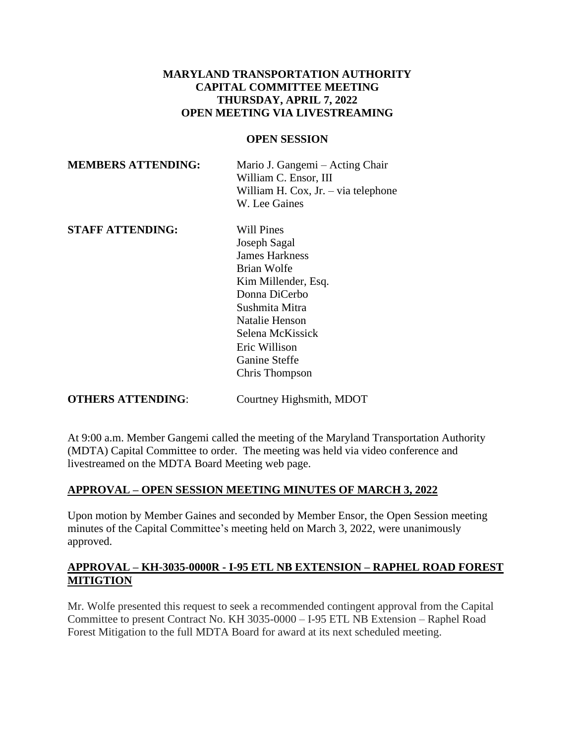# **MARYLAND TRANSPORTATION AUTHORITY CAPITAL COMMITTEE MEETING THURSDAY, APRIL 7, 2022 OPEN MEETING VIA LIVESTREAMING**

#### **OPEN SESSION**

| Mario J. Gangemi – Acting Chair      |
|--------------------------------------|
| William C. Ensor, III                |
| William H. Cox, $Jr - via$ telephone |
| W. Lee Gaines                        |
|                                      |

**STAFF ATTENDING:** Will Pines

Joseph Sagal James Harkness Brian Wolfe Kim Millender, Esq. Donna DiCerbo Sushmita Mitra Natalie Henson Selena McKissick Eric Willison Ganine Steffe Chris Thompson

**OTHERS ATTENDING:** Courtney Highsmith, MDOT

At 9:00 a.m. Member Gangemi called the meeting of the Maryland Transportation Authority (MDTA) Capital Committee to order. The meeting was held via video conference and livestreamed on the MDTA Board Meeting web page.

# **APPROVAL – OPEN SESSION MEETING MINUTES OF MARCH 3, 2022**

Upon motion by Member Gaines and seconded by Member Ensor, the Open Session meeting minutes of the Capital Committee's meeting held on March 3, 2022, were unanimously approved.

# **APPROVAL – KH-3035-0000R - I-95 ETL NB EXTENSION – RAPHEL ROAD FOREST MITIGTION**

Mr. Wolfe presented this request to seek a recommended contingent approval from the Capital Committee to present Contract No. KH 3035-0000 – I-95 ETL NB Extension – Raphel Road Forest Mitigation to the full MDTA Board for award at its next scheduled meeting.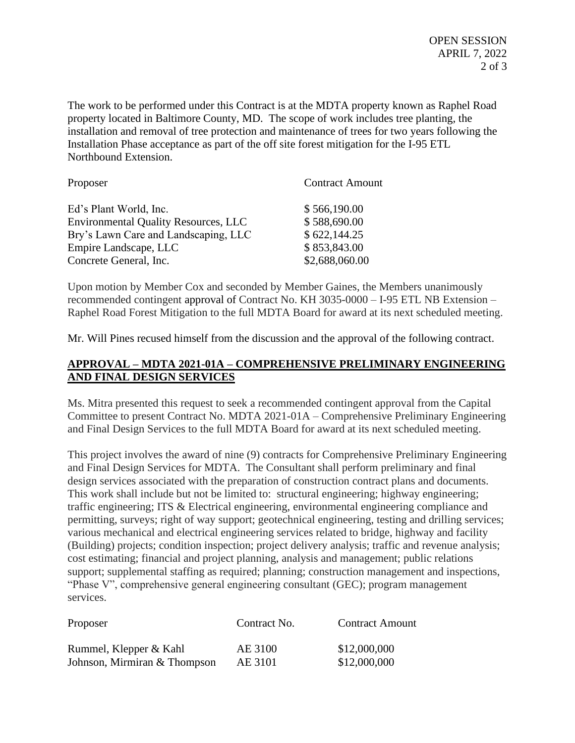The work to be performed under this Contract is at the MDTA property known as Raphel Road property located in Baltimore County, MD. The scope of work includes tree planting, the installation and removal of tree protection and maintenance of trees for two years following the Installation Phase acceptance as part of the off site forest mitigation for the I-95 ETL Northbound Extension.

| Proposer                                    | <b>Contract Amount</b> |
|---------------------------------------------|------------------------|
| Ed's Plant World, Inc.                      | \$566,190.00           |
| <b>Environmental Quality Resources, LLC</b> | \$588,690.00           |
| Bry's Lawn Care and Landscaping, LLC        | \$622,144.25           |
| Empire Landscape, LLC                       | \$853,843.00           |
| Concrete General, Inc.                      | \$2,688,060.00         |

Upon motion by Member Cox and seconded by Member Gaines, the Members unanimously recommended contingent approval of Contract No. KH 3035-0000 – I-95 ETL NB Extension – Raphel Road Forest Mitigation to the full MDTA Board for award at its next scheduled meeting.

Mr. Will Pines recused himself from the discussion and the approval of the following contract.

# **APPROVAL – MDTA 2021-01A – COMPREHENSIVE PRELIMINARY ENGINEERING AND FINAL DESIGN SERVICES**

Ms. Mitra presented this request to seek a recommended contingent approval from the Capital Committee to present Contract No. MDTA 2021-01A – Comprehensive Preliminary Engineering and Final Design Services to the full MDTA Board for award at its next scheduled meeting.

This project involves the award of nine (9) contracts for Comprehensive Preliminary Engineering and Final Design Services for MDTA. The Consultant shall perform preliminary and final design services associated with the preparation of construction contract plans and documents. This work shall include but not be limited to: structural engineering; highway engineering; traffic engineering; ITS & Electrical engineering, environmental engineering compliance and permitting, surveys; right of way support; geotechnical engineering, testing and drilling services; various mechanical and electrical engineering services related to bridge, highway and facility (Building) projects; condition inspection; project delivery analysis; traffic and revenue analysis; cost estimating; financial and project planning, analysis and management; public relations support; supplemental staffing as required; planning; construction management and inspections, "Phase V", comprehensive general engineering consultant (GEC); program management services.

| Proposer                     | Contract No. | <b>Contract Amount</b> |
|------------------------------|--------------|------------------------|
| Rummel, Klepper & Kahl       | AE 3100      | \$12,000,000           |
| Johnson, Mirmiran & Thompson | AE 3101      | \$12,000,000           |